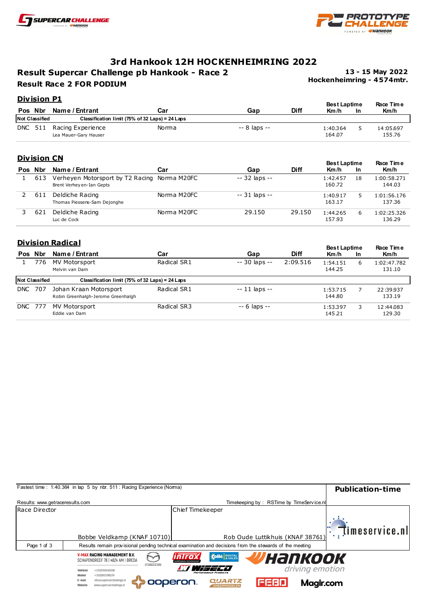



# **3rd Hankook 12H HOCKENHEIMRING 2022**

**Result Supercar Challenge pb Hankook - Race 2 Result Race 2 FOR PODIUM**

**Hockenheimring - 4 574mtr. 13 - 15 May 2022**

### **Div ision P1**

|         | <u>LIVISIUII F1</u>   |                                            |                                                 |              |             |                             |           | <b>Race Time</b>    |
|---------|-----------------------|--------------------------------------------|-------------------------------------------------|--------------|-------------|-----------------------------|-----------|---------------------|
| Pos Nbr |                       | Name / Entrant                             | Car                                             | Gap          | <b>Diff</b> | <b>Best Laptime</b><br>Km/h | <b>In</b> | Km/h                |
|         | <b>Not Classified</b> |                                            | Classification limit (75% of 32 Laps) = 24 Laps |              |             |                             |           |                     |
| DNC 511 |                       | Racing Experience<br>Lea Mauer-Gary Hauser | Norma                                           | -- 8 laps -- |             | 1:40.364<br>164.07          |           | 14:05.697<br>155.76 |

### **Div ision CN**

|     |     |                                                               |             |                |             | <b>Best Laptime</b> |           | <b>Race Time</b>      |
|-----|-----|---------------------------------------------------------------|-------------|----------------|-------------|---------------------|-----------|-----------------------|
| Pos | Nbr | Name / Entrant                                                | Car         | Gap            | <b>Diff</b> | Km/h                | <b>In</b> | Km/h                  |
|     | 613 | Verheyen Motorsport by T2 Racing<br>Brent Verhey en-Ian Gepts | Norma M20FC | $-32$ laps $-$ |             | 1:42.457<br>160.72  | 18        | 1:00:58.271<br>144.03 |
|     | 611 | Deldiche Racing<br>Thomas Piessens-Sam Dejonghe               | Norma M20FC | -- 31 laps --  |             | 1:40.917<br>163.17  |           | 1:01:56.176<br>137.36 |
|     | 621 | Deldiche Racing<br>Luc de Cock                                | Norma M20FC | 29.150         | 29.150      | 1:44.265<br>157.93  | 6         | 1:02:25.326<br>136.29 |

## **Division Radical**

| <b>Pos</b>     | Nbr                   | Name / Entrant                                               | Car         | Gap            | <b>Diff</b> | <b>Best Laptime</b><br>Km/h | <b>In</b> | <b>Race Time</b><br>Km/h |
|----------------|-----------------------|--------------------------------------------------------------|-------------|----------------|-------------|-----------------------------|-----------|--------------------------|
|                | 776                   | MV Motorsport<br>Melvin van Dam                              | Radical SR1 | $-30$ laps $-$ | 2:09.516    | 1:54.151<br>144.25          | 6         | 1:02:47.782<br>131.10    |
|                | <b>Not Classified</b> | Classification limit (75% of 32 Laps) = 24 Laps              |             |                |             |                             |           |                          |
| <b>DNC 707</b> |                       | Johan Kraan Motorsport<br>Robin Greenhalgh-Jerome Greenhalgh | Radical SR1 | $-11$ laps $-$ |             | 1:53.715<br>144.80          |           | 22:39.937<br>133.19      |
| <b>DNC 777</b> |                       | MV Motorsport<br>Eddie van Dam                               | Radical SR3 | $-6$ laps $-$  |             | 1:53.397<br>145.21          | 3         | 12:44.083<br>129.30      |

|                                 | Fastest time: 1:40.364 in lap 5 by nbr. 511: Racing Experience (Norma)                                                                                                                                                                       | <b>Publication-time</b> |
|---------------------------------|----------------------------------------------------------------------------------------------------------------------------------------------------------------------------------------------------------------------------------------------|-------------------------|
| Results: www.getraceresults.com | Timekeeping by: RSTime by TimeService.nl                                                                                                                                                                                                     |                         |
| Race Director                   | Chief Timekeeper                                                                                                                                                                                                                             | timeservice.nll         |
|                                 | Rob Oude Luttikhuis (KNAF 38761)<br>Bobbe Veldkamp (KNAF 10710)                                                                                                                                                                              |                         |
| Page 1 of 3                     | Results remain provisional pending technical examination and decisions from the stewards of the meeting                                                                                                                                      |                         |
|                                 | <b>V-MAX RACING MANAGEMENT B.V.</b><br><b>W</b> напкоок<br><b>Collé</b> RENTAL<br>inIro<br>SCHAPENDREEF 78   4824 AM   BREDA<br>maxoa<br>driving emotion<br>+31(0)765430200<br>Telefoon<br>Performance Products<br>+31(0)653798219<br>Mobiel |                         |
|                                 | info@supercarchallenge.nl<br><b>QUARTZ</b><br>E-mail<br>ooperon.<br>VEEEIN<br>Magir.com<br>www.supercarchallenge.nl<br>Websit<br><b>SMEERMIDDELEN</b>                                                                                        |                         |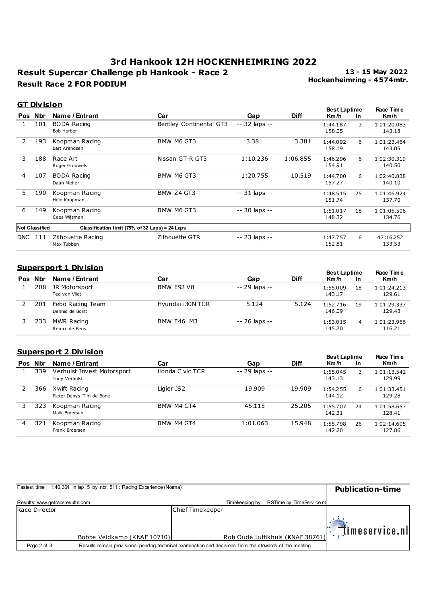# **Result Supercar Challenge pb Hankook - Race 2 Result Race 2 FOR PODIUM 3rd Hankook 12H HOCKENHEIMRING 2022**

**Hockenheimring - 4 574mtr. 13 - 15 May 2022**

#### **GT Div ision**

|            |                       |                                                 |                         |                |             | <b>Best Laptime</b> |           | Race Time             |
|------------|-----------------------|-------------------------------------------------|-------------------------|----------------|-------------|---------------------|-----------|-----------------------|
|            | Pos Nbr               | Name / Entrant                                  | Car                     | Gap            | <b>Diff</b> | Km/h                | <b>In</b> | Km/h                  |
|            | 101                   | <b>BODA Racing</b><br>Bob Herber                | Bentley Continental GT3 | -- 32 laps --  |             | 1:44.187<br>158.05  | 3         | 1:01:20.083<br>143.18 |
| 2          | 193                   | Koopman Racing<br><b>Bart Arendsen</b>          | BMW M6 GT3              | 3.381          | 3.381       | 1:44.092<br>158.19  | 6         | 1:01:23.464<br>143.05 |
| 3          | 188                   | Race Art<br>Roger Grouwels                      | Nissan GT-R GT3         | 1:10.236       | 1:06.855    | 1:46.296<br>154.91  | 6         | 1:02:30.319<br>140.50 |
| 4          | 107                   | BODA Racing<br>Daan Meijer                      | BMW M6 GT3              | 1:20.755       | 10.519      | 1:44.700<br>157.27  | 6         | 1:02:40.838<br>140.10 |
| 5.         | 190                   | Koopman Racing<br>Hein Koopman                  | BMW Z4 GT3              | $-31$ laps $-$ |             | 1:48.515<br>151.74  | 25        | 1:01:46.924<br>137.70 |
| 6          | 149                   | Koopman Racing<br>Cees Wijsman                  | BMW M6 GT3              | -- 30 laps --  |             | 1:51.017<br>148.32  | 18        | 1:01:05.506<br>134.76 |
|            | <b>Not Classified</b> | Classification limit (75% of 32 Laps) = 24 Laps |                         |                |             |                     |           |                       |
| <b>DNC</b> | 111                   | Zilhouette Racing<br>Max Tubben                 | Zilhouette GTR          | -- 23 laps --  |             | 1:47.757<br>152.81  | 6         | 47:16.252<br>133.53   |

### **Supersport 1 Div ision**

|            |     |                                     |                   |               |             | <b>Best Laptime</b> |           | <b>Race Time</b>      |
|------------|-----|-------------------------------------|-------------------|---------------|-------------|---------------------|-----------|-----------------------|
| <b>Pos</b> | Nbr | Name / Entrant                      | Car               | Gap           | <b>Diff</b> | Km/h                | <b>In</b> | Km/h                  |
|            | 208 | JR Motorsport<br>Ted van Vliet      | <b>BMW E92 V8</b> | -- 29 laps -- |             | 1:55.009<br>143.17  | 18        | 1:01:24.213<br>129.61 |
|            | 201 | Febo Racing Team<br>Dennis de Borst | Hyundai i30N TCR  | 5.124         | 5.124       | 1:52.716<br>146.09  | 19        | 1:01:29.337<br>129.43 |
|            | 233 | MWR Racing<br>Remco de Beus         | <b>BMW E46 M3</b> | -- 26 laps -- |             | 1:53.015<br>145.70  | 4         | 1:01:23.966<br>116.21 |

# **Supersport 2 Div ision**

|            | <u>Supersport 2 Division</u> |                                             |                 |               |             |                    | <b>Best Laptime</b> |                       |
|------------|------------------------------|---------------------------------------------|-----------------|---------------|-------------|--------------------|---------------------|-----------------------|
| <b>Pos</b> | Nbr                          | Name / Entrant                              | Car             | Gap           | <b>Diff</b> | Km/h               | <b>In</b>           | Race Time<br>Km/h     |
|            | 339                          | Verhulst Invest Motorsport<br>Tony Verhulst | Honda Civic TCR | -- 29 laps -- |             | 1:55.045<br>143.13 | 3                   | 1:01:13.542<br>129.99 |
|            | 366                          | Xwift Racing<br>Pieter Denys-Tim de Borle   | Ligier JS2      | 19.909        | 19.909      | 1:54.255<br>144.12 | 6                   | 1:01:33.451<br>129.28 |
|            | 323                          | Koopman Racing<br>Maik Broersen             | BMW M4 GT4      | 45.115        | 25.205      | 1:55.707<br>142.31 | 24                  | 1:01:58.657<br>128.41 |
| 4          | 321                          | Koopman Racing<br>Frank Broersen            | BMW M4 GT4      | 1:01.063      | 15.948      | 1:55.798<br>142.20 | 26                  | 1:02:14.605<br>127.86 |

|                                 | Fastest time: 1:40.364 in lap 5 by nbr. 511: Racing Experience (Norma) |                                                                                                                                             | <b>Publication-time</b>                 |
|---------------------------------|------------------------------------------------------------------------|---------------------------------------------------------------------------------------------------------------------------------------------|-----------------------------------------|
| Results: www.getraceresults.com |                                                                        | Timekeeping by: RSTime by TimeService.nl                                                                                                    |                                         |
| Race Director                   |                                                                        | Chief Timekeeper                                                                                                                            |                                         |
| Page 2 of 3                     | Bobbe Veldkamp (KNAF 10710)                                            | Rob Oude Luttikhuis (KNAF 38761)<br>Results remain provisional pending technical examination and decisions from the stewards of the meeting | $\mathbb{E}$ $\mathbb{I}$ imeservice.nl |